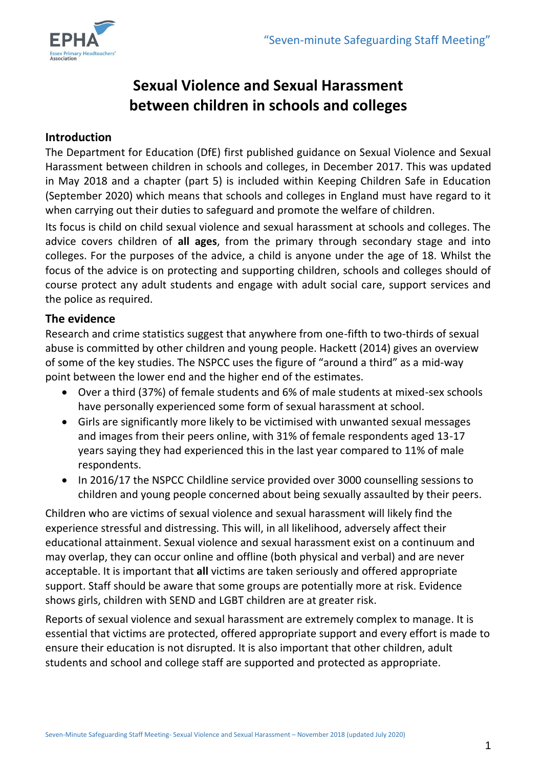

# **Sexual Violence and Sexual Harassment between children in schools and colleges**

### **Introduction**

The Department for Education (DfE) first published guidance on Sexual Violence and Sexual Harassment between children in schools and colleges, in December 2017. This was updated in May 2018 and a chapter (part 5) is included within Keeping Children Safe in Education (September 2020) which means that schools and colleges in England must have regard to it when carrying out their duties to safeguard and promote the welfare of children.

Its focus is child on child sexual violence and sexual harassment at schools and colleges. The advice covers children of **all ages**, from the primary through secondary stage and into colleges. For the purposes of the advice, a child is anyone under the age of 18. Whilst the focus of the advice is on protecting and supporting children, schools and colleges should of course protect any adult students and engage with adult social care, support services and the police as required.

### **The evidence**

Research and crime statistics suggest that anywhere from one-fifth to two-thirds of sexual abuse is committed by other children and young people. Hackett (2014) gives an overview of some of the key studies. The NSPCC uses the figure of "around a third" as a mid-way point between the lower end and the higher end of the estimates.

- Over a third (37%) of female students and 6% of male students at mixed-sex schools have personally experienced some form of sexual harassment at school.
- Girls are significantly more likely to be victimised with unwanted sexual messages and images from their peers online, with 31% of female respondents aged 13-17 years saying they had experienced this in the last year compared to 11% of male respondents.
- In 2016/17 the NSPCC Childline service provided over 3000 counselling sessions to children and young people concerned about being sexually assaulted by their peers.

Children who are victims of sexual violence and sexual harassment will likely find the experience stressful and distressing. This will, in all likelihood, adversely affect their educational attainment. Sexual violence and sexual harassment exist on a continuum and may overlap, they can occur online and offline (both physical and verbal) and are never acceptable. It is important that **all** victims are taken seriously and offered appropriate support. Staff should be aware that some groups are potentially more at risk. Evidence shows girls, children with SEND and LGBT children are at greater risk.

Reports of sexual violence and sexual harassment are extremely complex to manage. It is essential that victims are protected, offered appropriate support and every effort is made to ensure their education is not disrupted. It is also important that other children, adult students and school and college staff are supported and protected as appropriate.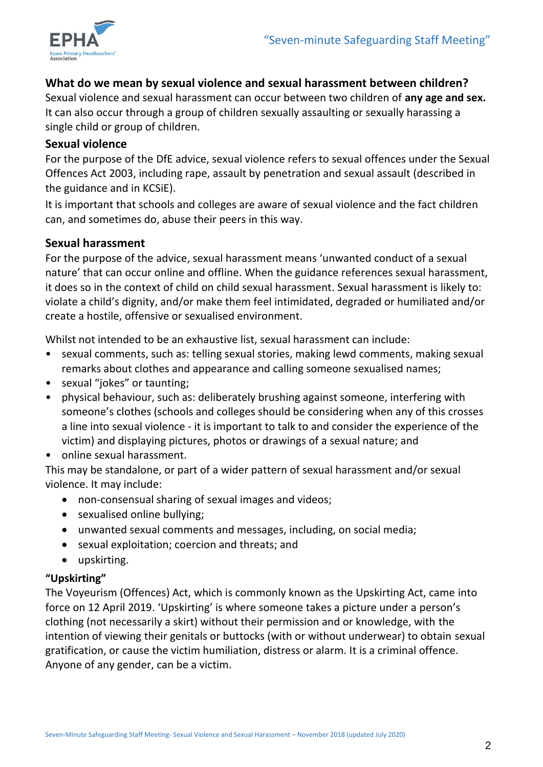

## **What do we mean by sexual violence and sexual harassment between children?**

Sexual violence and sexual harassment can occur between two children of **any age and sex.**  It can also occur through a group of children sexually assaulting or sexually harassing a single child or group of children.

#### **Sexual violence**

For the purpose of the DfE advice, sexual violence refers to sexual offences under the Sexual Offences Act 2003, including rape, assault by penetration and sexual assault (described in the guidance and in KCSiE).

It is important that schools and colleges are aware of sexual violence and the fact children can, and sometimes do, abuse their peers in this way.

#### **Sexual harassment**

For the purpose of the advice, sexual harassment means 'unwanted conduct of a sexual nature' that can occur online and offline. When the guidance references sexual harassment, it does so in the context of child on child sexual harassment. Sexual harassment is likely to: violate a child's dignity, and/or make them feel intimidated, degraded or humiliated and/or create a hostile, offensive or sexualised environment.

Whilst not intended to be an exhaustive list, sexual harassment can include:

- sexual comments, such as: telling sexual stories, making lewd comments, making sexual remarks about clothes and appearance and calling someone sexualised names;
- sexual "jokes" or taunting;
- physical behaviour, such as: deliberately brushing against someone, interfering with someone's clothes (schools and colleges should be considering when any of this crosses a line into sexual violence - it is important to talk to and consider the experience of the victim) and displaying pictures, photos or drawings of a sexual nature; and
- online sexual harassment.

This may be standalone, or part of a wider pattern of sexual harassment and/or sexual violence. It may include:

- non-consensual sharing of sexual images and videos;
- sexualised online bullying;
- unwanted sexual comments and messages, including, on social media;
- sexual exploitation; coercion and threats; and
- upskirting.

#### **"Upskirting"**

The Voyeurism (Offences) Act, which is commonly known as the Upskirting Act, came into force on 12 April 2019. 'Upskirting' is where someone takes a picture under a person's clothing (not necessarily a skirt) without their permission and or knowledge, with the intention of viewing their genitals or buttocks (with or without underwear) to obtain sexual gratification, or cause the victim humiliation, distress or alarm. It is a criminal offence. Anyone of any gender, can be a victim.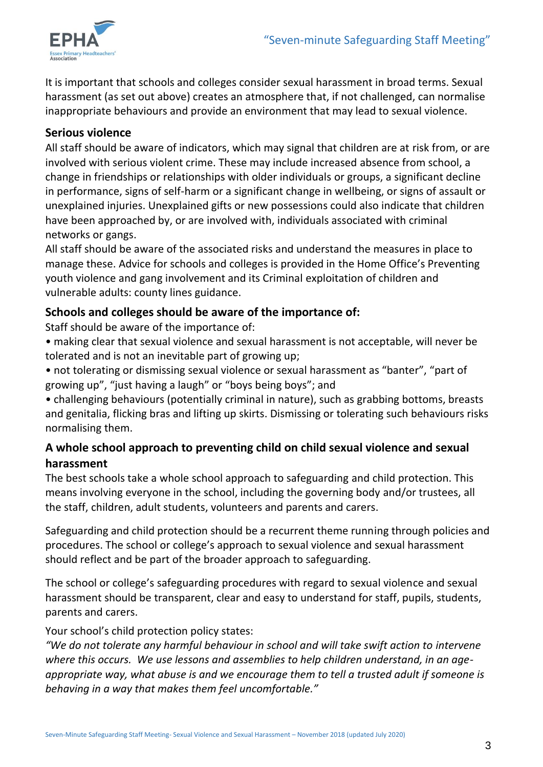

It is important that schools and colleges consider sexual harassment in broad terms. Sexual harassment (as set out above) creates an atmosphere that, if not challenged, can normalise inappropriate behaviours and provide an environment that may lead to sexual violence.

### **Serious violence**

All staff should be aware of indicators, which may signal that children are at risk from, or are involved with serious violent crime. These may include increased absence from school, a change in friendships or relationships with older individuals or groups, a significant decline in performance, signs of self-harm or a significant change in wellbeing, or signs of assault or unexplained injuries. Unexplained gifts or new possessions could also indicate that children have been approached by, or are involved with, individuals associated with criminal networks or gangs.

All staff should be aware of the associated risks and understand the measures in place to manage these. Advice for schools and colleges is provided in the Home Office's Preventing youth violence and gang involvement and its Criminal exploitation of children and vulnerable adults: county lines guidance.

# **Schools and colleges should be aware of the importance of:**

Staff should be aware of the importance of:

• making clear that sexual violence and sexual harassment is not acceptable, will never be tolerated and is not an inevitable part of growing up;

• not tolerating or dismissing sexual violence or sexual harassment as "banter", "part of growing up", "just having a laugh" or "boys being boys"; and

• challenging behaviours (potentially criminal in nature), such as grabbing bottoms, breasts and genitalia, flicking bras and lifting up skirts. Dismissing or tolerating such behaviours risks normalising them.

# **A whole school approach to preventing child on child sexual violence and sexual harassment**

The best schools take a whole school approach to safeguarding and child protection. This means involving everyone in the school, including the governing body and/or trustees, all the staff, children, adult students, volunteers and parents and carers.

Safeguarding and child protection should be a recurrent theme running through policies and procedures. The school or college's approach to sexual violence and sexual harassment should reflect and be part of the broader approach to safeguarding.

The school or college's safeguarding procedures with regard to sexual violence and sexual harassment should be transparent, clear and easy to understand for staff, pupils, students, parents and carers.

#### Your school's child protection policy states:

*"We do not tolerate any harmful behaviour in school and will take swift action to intervene where this occurs. We use lessons and assemblies to help children understand, in an ageappropriate way, what abuse is and we encourage them to tell a trusted adult if someone is behaving in a way that makes them feel uncomfortable."*